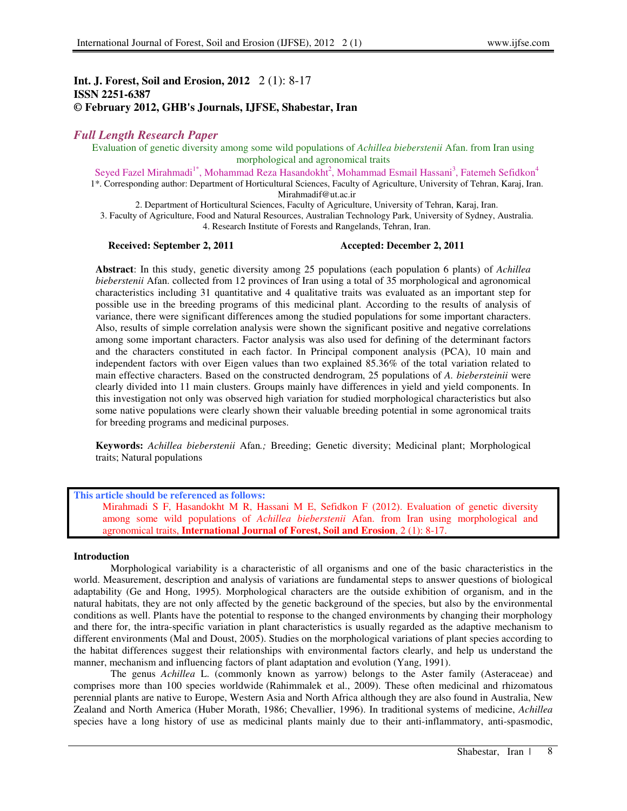# **Int. J. Forest, Soil and Erosion, 2012** 2 (1): 8-17 **ISSN 2251-6387 © February 2012, GHB's Journals, IJFSE, Shabestar, Iran**

## *Full Length Research Paper*

Evaluation of genetic diversity among some wild populations of *Achillea bieberstenii* Afan. from Iran using morphological and agronomical traits

Seyed Fazel Mirahmadi<sup>1\*</sup>, Mohammad Reza Hasandokht<sup>2</sup>, Mohammad Esmail Hassani<sup>3</sup>, Fatemeh Sefidkon<sup>4</sup> 1\*. Corresponding author: Department of Horticultural Sciences, Faculty of Agriculture, University of Tehran, Karaj, Iran. Mirahmadif@ut.ac.ir

2. Department of Horticultural Sciences, Faculty of Agriculture, University of Tehran, Karaj, Iran. 3. Faculty of Agriculture, Food and Natural Resources, Australian Technology Park, University of Sydney, Australia.

4. Research Institute of Forests and Rangelands, Tehran, Iran.

#### **Received: September 2, 2011 Accepted: December 2, 2011**

**Abstract**: In this study, genetic diversity among 25 populations (each population 6 plants) of *Achillea bieberstenii* Afan. collected from 12 provinces of Iran using a total of 35 morphological and agronomical characteristics including 31 quantitative and 4 qualitative traits was evaluated as an important step for possible use in the breeding programs of this medicinal plant. According to the results of analysis of variance, there were significant differences among the studied populations for some important characters. Also, results of simple correlation analysis were shown the significant positive and negative correlations among some important characters. Factor analysis was also used for defining of the determinant factors and the characters constituted in each factor. In Principal component analysis (PCA), 10 main and independent factors with over Eigen values than two explained 85.36% of the total variation related to main effective characters. Based on the constructed dendrogram, 25 populations of *A. biebersteinii* were clearly divided into 11 main clusters. Groups mainly have differences in yield and yield components. In this investigation not only was observed high variation for studied morphological characteristics but also some native populations were clearly shown their valuable breeding potential in some agronomical traits for breeding programs and medicinal purposes.

**Keywords:** *Achillea bieberstenii* Afan*.;* Breeding; Genetic diversity; Medicinal plant; Morphological traits; Natural populations

## **This article should be referenced as follows:**  Mirahmadi S F, Hasandokht M R, Hassani M E, Sefidkon F (2012). Evaluation of genetic diversity among some wild populations of *Achillea bieberstenii* Afan. from Iran using morphological and agronomical traits, **International Journal of Forest, Soil and Erosion**, 2 (1): 8-17.

#### **Introduction**

Morphological variability is a characteristic of all organisms and one of the basic characteristics in the world. Measurement, description and analysis of variations are fundamental steps to answer questions of biological adaptability (Ge and Hong, 1995). Morphological characters are the outside exhibition of organism, and in the natural habitats, they are not only affected by the genetic background of the species, but also by the environmental conditions as well. Plants have the potential to response to the changed environments by changing their morphology and there for, the intra-specific variation in plant characteristics is usually regarded as the adaptive mechanism to different environments (Mal and Doust, 2005). Studies on the morphological variations of plant species according to the habitat differences suggest their relationships with environmental factors clearly, and help us understand the manner, mechanism and influencing factors of plant adaptation and evolution (Yang, 1991).

The genus *Achillea* L. (commonly known as yarrow) belongs to the Aster family (Asteraceae) and comprises more than 100 species worldwide (Rahimmalek et al., 2009). These often medicinal and rhizomatous perennial plants are native to Europe, Western Asia and North Africa although they are also found in Australia, New Zealand and North America (Huber Morath, 1986; Chevallier, 1996). In traditional systems of medicine, *Achillea* species have a long history of use as medicinal plants mainly due to their anti-inflammatory, anti-spasmodic,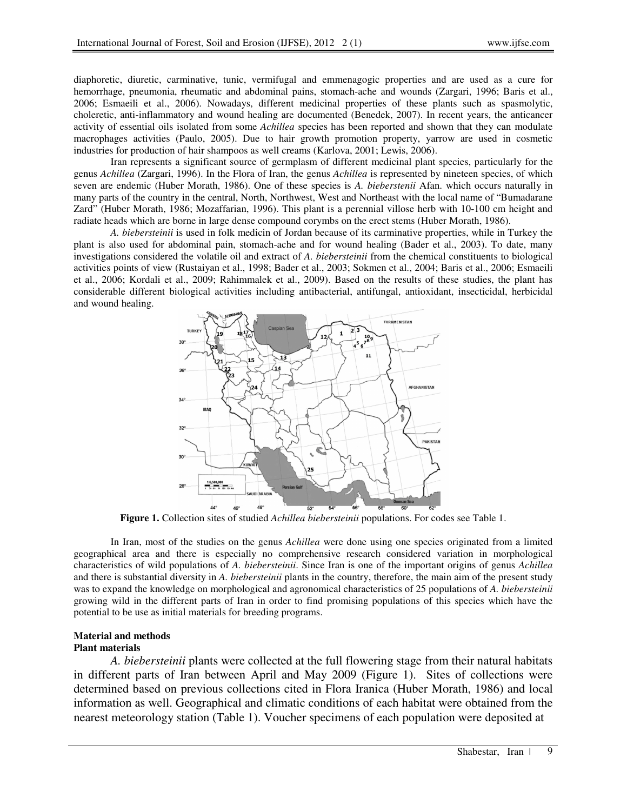diaphoretic, diuretic, carminative, tunic, vermifugal and emmenagogic properties and are used as a cure for hemorrhage, pneumonia, rheumatic and abdominal pains, stomach-ache and wounds (Zargari, 1996; Baris et al., 2006; Esmaeili et al., 2006). Nowadays, different medicinal properties of these plants such as spasmolytic, choleretic, anti-inflammatory and wound healing are documented (Benedek, 2007). In recent years, the anticancer activity of essential oils isolated from some *Achillea* species has been reported and shown that they can modulate macrophages activities (Paulo, 2005). Due to hair growth promotion property, yarrow are used in cosmetic industries for production of hair shampoos as well creams (Karlova, 2001; Lewis, 2006).

Iran represents a significant source of germplasm of different medicinal plant species, particularly for the genus *Achillea* (Zargari, 1996). In the Flora of Iran, the genus *Achillea* is represented by nineteen species, of which seven are endemic (Huber Morath, 1986). One of these species is *A. bieberstenii* Afan. which occurs naturally in many parts of the country in the central, North, Northwest, West and Northeast with the local name of "Bumadarane Zard" (Huber Morath, 1986; Mozaffarian, 1996). This plant is a perennial villose herb with 10-100 cm height and radiate heads which are borne in large dense compound corymbs on the erect stems (Huber Morath, 1986).

*A. biebersteinii* is used in folk medicin of Jordan because of its carminative properties, while in Turkey the plant is also used for abdominal pain, stomach-ache and for wound healing (Bader et al., 2003). To date, many investigations considered the volatile oil and extract of *A. biebersteinii* from the chemical constituents to biological activities points of view (Rustaiyan et al., 1998; Bader et al., 2003; Sokmen et al., 2004; Baris et al., 2006; Esmaeili et al., 2006; Kordali et al., 2009; Rahimmalek et al., 2009). Based on the results of these studies, the plant has considerable different biological activities including antibacterial, antifungal, antioxidant, insecticidal, herbicidal and wound healing.



**Figure 1.** Collection sites of studied *Achillea biebersteinii* populations. For codes see Table 1.

In Iran, most of the studies on the genus *Achillea* were done using one species originated from a limited geographical area and there is especially no comprehensive research considered variation in morphological characteristics of wild populations of *A. biebersteinii*. Since Iran is one of the important origins of genus *Achillea* and there is substantial diversity in *A. biebersteinii* plants in the country, therefore, the main aim of the present study was to expand the knowledge on morphological and agronomical characteristics of 25 populations of *A. biebersteinii* growing wild in the different parts of Iran in order to find promising populations of this species which have the potential to be use as initial materials for breeding programs.

#### **Material and methods Plant materials**

*A. biebersteinii* plants were collected at the full flowering stage from their natural habitats in different parts of Iran between April and May 2009 (Figure 1). Sites of collections were determined based on previous collections cited in Flora Iranica (Huber Morath, 1986) and local information as well. Geographical and climatic conditions of each habitat were obtained from the nearest meteorology station (Table 1). Voucher specimens of each population were deposited at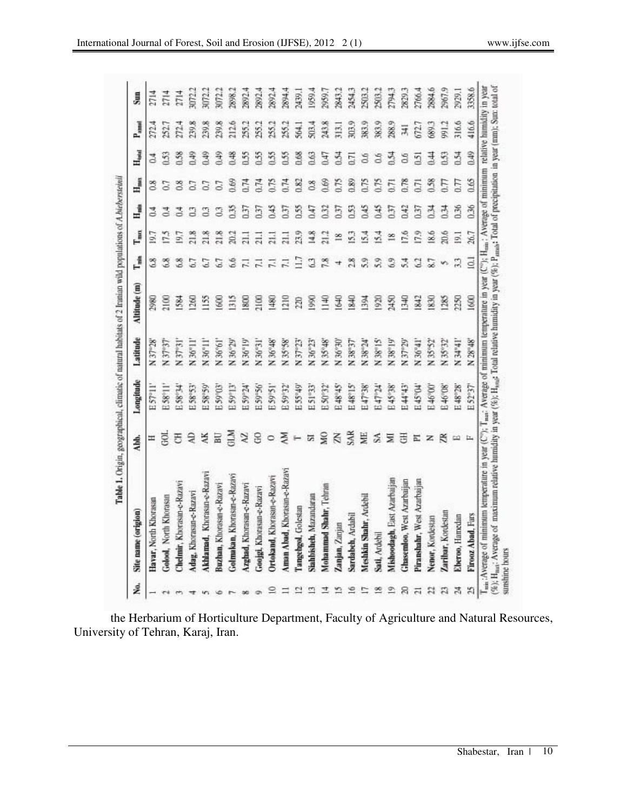|                         | Site name (origion)          | Abb.                     | Longitude | Latitude           | Altitude (m)      | ľ,             | $T_{\rm max}$   | ₫              | $H_{\rm max}$  | ${\rm H}_{\rm odd}$ | $\rm{P}_{small}$ | Sun    |
|-------------------------|------------------------------|--------------------------|-----------|--------------------|-------------------|----------------|-----------------|----------------|----------------|---------------------|------------------|--------|
|                         | Havar, North Khorasan        | Ξ                        | E57°II'   | N 37°28'           | 2980              | 6.8            | 19.7            |                | $\frac{8}{20}$ | $\mathbb{S}^4$      | 272.4            | 2714   |
| $\rightarrow$           | Golool, North Khorasan       | ğ                        | E58°11'   | N 37°37'           | $\widetilde{\Xi}$ | 6.8            | 17.5            |                |                | 0.53                | 22.              | 2714   |
|                         | Chelmir, Khorasan-e-Razavi   | 舌                        | E58°34'   | N 37°31'           | ž                 | 6.8            | 19.7            | 콤              | 0.8            | 0.58                | 272.4            | 2714   |
|                         | Adag, Khorasan-e-Razavi      | ą                        | E58°53'   | N 36"11"           | 260               | 6.7            | 21.8            |                |                | 0.49                | 239.8            | 3072.2 |
|                         | Akhlamad, Khorasan-e-Razavi  | ¥                        | E 58°59'  | N 36°11            | $\tilde{15}$      | C.7            | 21.8            | S              |                | 0.49                | 239.8            | 3072.2 |
|                         | Buzhan, Khorasan-e-Razav     | 冨                        | E59933    | N 36°61            | 3                 | 6.7            | 21.8            |                | 0.7            | \$6.0               | 239.8            | 3072.2 |
|                         | Golmakan, Khorasan-e-Razavi  | MIS                      | E59°13'   | N 36°29            | 315               | 6.6            | 20.2            | 135            | 0.69           | 0.48                | 212.6            | 2898.2 |
|                         | Azghad, Khorasan-e-Razavi    | $\lambda$                | E59°24    | N 36°19'           | 800               | 글              | $\Xi$           | 137            | 0.74           | 0.55                | 255.2            | 2892.4 |
|                         | Googl, Khorasan-e-Razavi     | S                        | E59°56    | N 36°31            | 2100              | $\overline{z}$ | $\Xi$           | 137            | 0.74           | 0.55                | 255.2            | 2892.  |
| ≌                       | Ortokand, Khorasan-e-Razavi  | O                        | E59°51'   | N 36°48'           | 1480              | $\Xi$          | $\overline{11}$ | 345            | 675            | 0.55                | 255.2            | 2892.4 |
|                         | Aman Abad, Khorasan-e-Razavi | ΧŇ                       | E 59°32'  | N 35°58'           | 210               | $\overline{z}$ | $\overline{a}$  | 137            | 0.74           | 0.55                | 255.2            | 2894.4 |
| $\overline{a}$          | Tangehgol, Golesian          | $\leftarrow$             | E55°49'   | N 37°23'           | 220               | 1.7            | 23.9            | 1.55           | 0.82           | 0.68                | 564.1            | 2439.1 |
| $\overline{\mathbf{c}}$ | Stahlsisheh, Mazandaran      | 넒                        | E51°33'   | N 36°23'           | <b>S80</b>        | 3              | 14.8            | Ξ              | $^{8}$         | 0.63                | 503.4            | 1959.4 |
| 코                       | Mohammad Shahr, Tehran       | SN                       | E 50°32'  | N 35°48'           | 료                 | 7.8            | 21.2            | $\mathfrak{B}$ | 0.69           | 747                 | 243.8            | 2959.7 |
| S.                      | Zanjan, Zanjan               | K                        | E48°45'   | N 36°30'           | <b>SED</b>        | 4              | $\frac{8}{16}$  | 0.37           | 0.75           | 0.54                | 313.1            | 2843.2 |
| $\leq$                  | Sardabeh, Ardabil            | SAR                      | E48°15'   | N 38°37'           | 1840              | 2.8            | 15.3            | 153            | 0.89           | $\overline{11}$     | 303.9            | 24543  |
| $\overline{a}$          | Meshkin Shahr, Ardebil       | NE.                      | E47°38'   | N 38°24'           | $\frac{34}{2}$    | 5.9            | 54              | 345            | 0.75           | S                   | 383.9            | 2503.2 |
| 쫀                       | Sati, Ardebil                | S                        | E47°24'   | N 38°15'           | $\frac{80}{20}$   | 5.9            | 5.4             | 345            | 6.75           | G.6                 | 383.9            | 2503.  |
| $\mathfrak{D}$          | Mishoodagh, East Azarbaijan  | Ξ                        | E45°38'   | N 38°19'           | 2450              | 6.9            | $\frac{8}{16}$  | 750            | Ē              | 0.54                | 288.9            | 2794.3 |
| 8                       | Ghasemloo, West Azarbaijan   | 품                        | E44"43'   | N 37°29'           | $\frac{40}{2}$    | 5.4            | 17.6            | 1.42           | 0.78           | 0.6                 | 耳                | 2829.3 |
| $\overline{1}$          | Piranshahr, West Azarbaijan  | 뉸                        | E45°04'   | N 36°41            | 842               | g              | 17.9            | 互              | $\overline{1}$ | 51                  | 572.7            | 2766.4 |
| $\boldsymbol{z}$        | Nenor, Kordestan             | z                        | E46°00'   | N 35°52'           | 830               | 87             | 18.6            | 适              | 0.58           | 94                  | 689.3            | 2884.6 |
| $\mathbb{Z}$            | Zaribar, Kordestan           | $\approx$                | E 46°08'  | N 35°32'           | 285               | v.             | 20.6            | 马              | 57             | 0.53                | 91.2             | 2967.9 |
| 莴                       | Elveroo, Hamedan             | $\overline{\phantom{a}}$ | E48°28'   | N <sub>34°41</sub> | 2250              | 33             | $\Xi$           | 1.36           | 0.77           | 0.54                | 316.6            | 2929.1 |
| $\mathbb{Z}$            | Firooz Abad. Fars            | h,                       | E52°37'   | N 28°48'           | [600]             | <b>G1</b>      | 26.7            | 0.36           | 0.65           | 0.49                | 416.6            | 3358.6 |

the Herbarium of Horticulture Department, Faculty of Agriculture and Natural Resources, University of Tehran, Karaj, Iran.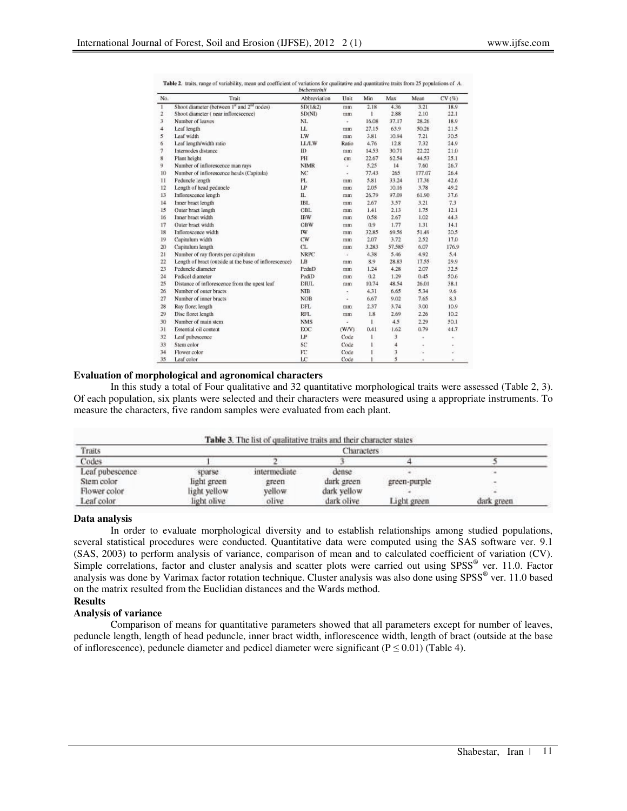|                          |                                                                    | biebersteinti   |                |       |        |        |       |
|--------------------------|--------------------------------------------------------------------|-----------------|----------------|-------|--------|--------|-------|
| No.                      | Trait                                                              | Abbreviation    | Unit           | Min   | Max    | Mean   | CV(%) |
| $\mathbf{1}$             | Shoot diameter (between 1 <sup>st</sup> and 2 <sup>nd</sup> nodes) | SD(1&2)         | mm             | 2.18  | 4.36   | 3.21   | 18.9  |
| $\overline{2}$           | Shoot diameter (near inflorescence)                                | <b>SD(NI)</b>   | mm             | Ť.    | 2.88   | 2.10   | 22.1  |
| 3                        | Number of leaves                                                   | NL              | ÷              | 16.08 | 37.17  | 28.26  | 18.9  |
| $\overline{4}$           | Leaf length                                                        | LL.             | mm             | 27.15 | 63.9   | 50.26  | 21.5  |
| 5                        | Leaf width                                                         | LW              | mm             | 3.81  | 10.94  | 7.21   | 30.5  |
| 6                        | Leaf length/width ratio                                            | <b>LL/LW</b>    | Ratio          | 4.76  | 12.8   | 7.32   | 24.9  |
| $\overline{\phantom{a}}$ | Internodes distance                                                | ID.             | mm             | 14.53 | 30.71  | 22.22  | 21.0  |
| 8                        | Plant height                                                       | PH              | cm             | 22.67 | 62.54  | 44.53  | 25.1  |
| 9                        | Number of inflorescence man rays                                   | <b>NIMR</b>     | ÷              | 5.25  | 14     | 7.60   | 26.7  |
| 10                       | Number of inflorescence heads (Capitula)                           | NC              | ż              | 77.43 | 265    | 177.07 | 26.4  |
| 11                       | Peduncle length                                                    | PL.             | m <sub>m</sub> | 5.81  | 33.24  | 17.36  | 42.6  |
| 12                       | Length of head peduncle                                            | LP              | mm             | 2.05  | 10.16  | 3.78   | 49.2  |
| 13                       | Inflorescence length                                               | П.              | mm             | 26.79 | 97.09  | 61.90  | 37.6  |
| 14                       | Inner bract length                                                 | <b>IBL</b>      | mm             | 2.67  | 3.57   | 3.21   | 7.3   |
| 15                       | Outer bract length                                                 | OBL             | mm             | 1.41  | 2.13   | 1.75   | 12.1  |
| 16                       | Inner bract width                                                  | <b>IBW</b>      | mm             | 0.58  | 2.67   | 1.02   | 44.3  |
| 17                       | Outer bract width                                                  | OBW             | mm             | 0.9   | 1.77   | 1.31   | 14.1  |
| 18                       | Inflorescence width                                                | IW              | mm             | 32.85 | 69.56  | 51.49  | 20.5  |
| 19                       | Capitulum width                                                    | CW              | mm             | 2.07  | 3.72   | 2.52   | 17.0  |
| 20                       | Capitulum length                                                   | CL.             | mm             | 3.283 | 57,585 | 6.07   | 176.9 |
| 21                       | Number of ray florets per capitulum                                | <b>NRPC</b>     | Ξ              | 4.38  | 5.46   | 4.92   | 5.4   |
| 22                       | Length of bract (outside at the base of inflorescence)             | LB              | mm             | 8.9   | 28.83  | 17.55  | 29.9  |
| 23                       | Peduncle diameter                                                  | PeduD           | mm             | 1.24  | 4.28   | 2.07   | 32.5  |
| $^{24}$                  | Pedicel diameter                                                   | PediD           | mm             | 0.2   | 1.29   | 0.45   | 50.6  |
| 25                       | Distance of inflorescence from the upest leaf                      | DIUL.           | mm             | 10.74 | 48.54  | 26.01  | 38.1  |
| 26                       | Number of outer bracts                                             | <b>NIB</b>      | ٠              | 4.31  | 6.65   | 5.34   | 9.6   |
| 27                       | Number of inner bracts                                             | <b>NOB</b>      | ä,             | 6.67  | 9.02   | 7.65   | 8.3   |
| 28                       | Ray floret length                                                  | DFL.            | mm             | 2.37  | 3.74   | 3.00   | 10.9  |
| 29                       | Disc floret length                                                 | <b>RFL</b>      | mm             | 1.8   | 2.69   | 2.26   | 10.2  |
| 30                       | Number of main stem                                                | <b>NMS</b>      | ż              | 1     | 4.5    | 2.29   | 50.1  |
| 31                       | Essential oil content                                              | EOC             | (W/V)          | 0.41  | 1.62   | 0.79   | 44.7  |
| 32                       | Leaf pubescence                                                    | LP              | Code           | 1     | 3      | ×,     | ×.    |
| 33                       | Stem color                                                         | SC <sup>-</sup> | Code           | 1     | 4      | ٠      | ۰     |
| 34                       | Flower color                                                       | FC              | Code           |       | 3      | u,     |       |
| 35                       | Leaf color                                                         | LC              | Code           |       | 5      | ×      | à.    |

Table 2. traits, range of variability, mean and coefficient of variations for qualitative and quantitative traits from 25 populations of A.

#### **Evaluation of morphological and agronomical characters**

In this study a total of Four qualitative and 32 quantitative morphological traits were assessed (Table 2, 3). Of each population, six plants were selected and their characters were measured using a appropriate instruments. To measure the characters, five random samples were evaluated from each plant.

| Traits          |              |              | <b>Characters</b> |              |            |
|-----------------|--------------|--------------|-------------------|--------------|------------|
| Codes           |              |              |                   |              |            |
| Leaf pubescence | sparse       | intermediate | dense             |              |            |
| Stem color      | light green  | green        | dark green        | green-purple |            |
| Flower color    | light yellow | vellow       | dark vellow       |              |            |
| Leaf color      | light olive  | olive        | dark olive        | Light green  | dark green |

#### **Data analysis**

In order to evaluate morphological diversity and to establish relationships among studied populations, several statistical procedures were conducted. Quantitative data were computed using the SAS software ver. 9.1 (SAS, 2003) to perform analysis of variance, comparison of mean and to calculated coefficient of variation (CV). Simple correlations, factor and cluster analysis and scatter plots were carried out using SPSS® ver. 11.0. Factor analysis was done by Varimax factor rotation technique. Cluster analysis was also done using SPSS® ver. 11.0 based on the matrix resulted from the Euclidian distances and the Wards method.

#### **Results Analysis of variance**

Comparison of means for quantitative parameters showed that all parameters except for number of leaves, peduncle length, length of head peduncle, inner bract width, inflorescence width, length of bract (outside at the base of inflorescence), peduncle diameter and pedicel diameter were significant ( $P \le 0.01$ ) (Table 4).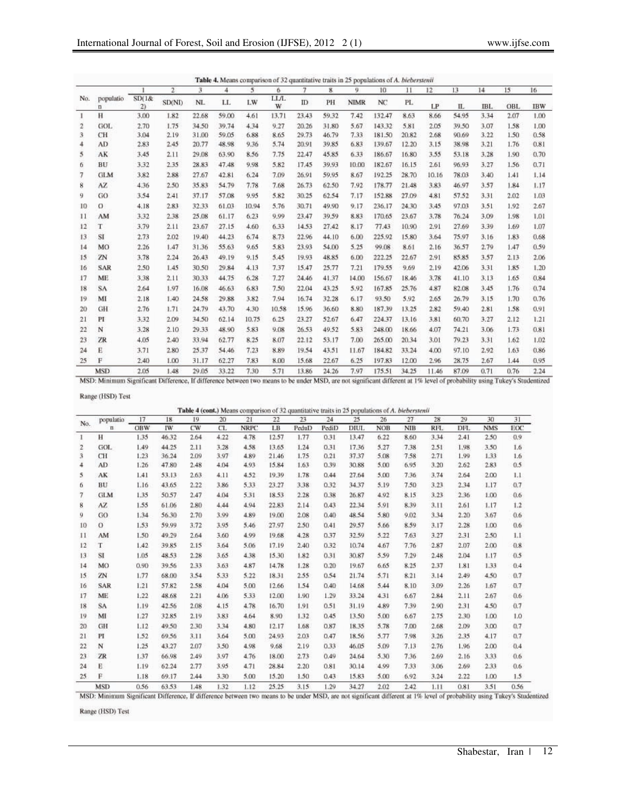|                |                |             | $\overline{2}$ | 3.    | 4     | 5     | 6         | 7     | $\mathbf{g}$ | 9           | 10              | 11    | 12    | 13    | 14   | 15   | 16         |
|----------------|----------------|-------------|----------------|-------|-------|-------|-----------|-------|--------------|-------------|-----------------|-------|-------|-------|------|------|------------|
| No.            | populatio<br>п | SD(1&<br>2) | <b>SD(NI)</b>  | NL    | LL.   | LW    | LL/L<br>W | ID    | PH           | <b>NIMR</b> | NC <sup>1</sup> | PL.   | LP    | ΙL    | IBL. | OBL  | <b>IBW</b> |
| 1              | H              | 3.00        | 1.82           | 22.68 | 59.00 | 4.61  | 13.71     | 23.43 | 59.32        | 7.42        | 132.47          | 8.63  | 8.66  | 54.95 | 3.34 | 2.07 | 1.00       |
| $\overline{2}$ | GOL            | 2.70        | 1.75           | 34.50 | 39.74 | 4.34  | 9.27      | 20.26 | 31.80        | 5.67        | 143.32          | 5.81  | 2.05  | 39.50 | 3.07 | 1.58 | 1.00       |
| 3              | CH             | 3.04        | 2.19           | 31.00 | 59.05 | 6.88  | 8.65      | 29.73 | 46.79        | 7.33        | 181.50          | 20.82 | 2.68  | 90.69 | 3.22 | 1.50 | 0.58       |
| 4              | AD.            | 2.83        | 2.45           | 20.77 | 48.98 | 9.36  | 5.74      | 20.91 | 39.85        | 6.83        | 139.67          | 12.20 | 3.15  | 38.98 | 3.21 | 1.76 | 0.81       |
| 5              | AK             | 3.45        | 2.11           | 29.08 | 63.90 | 8.56  | 7.75      | 22.47 | 45.85        | 6.33        | 186.67          | 16.80 | 3.55  | 53.18 | 3.28 | 1.90 | 0.70       |
| 6              | BU             | 3.32        | 2.35           | 28.83 | 47.48 | 9.98  | 5.82      | 17.45 | 39.93        | 10.00       | 182.67          | 16.15 | 2.61  | 96.93 | 3.27 | 1.56 | 0.71       |
| 7              | <b>GLM</b>     | 3.82        | 2.88           | 27.67 | 42.81 | 6.24  | 7.09      | 26.91 | 59.95        | 8.67        | 192.25          | 28.70 | 10.16 | 78.03 | 3,40 | 1.41 | 1.14       |
| 8              | AZ.            | 4.36        | 2.50           | 35.83 | 54.79 | 7.78  | 7.68      | 26.73 | 62.50        | 7.92        | 178.77          | 21.48 | 3.83  | 46.97 | 3.57 | 1.84 | 1.17       |
| 9              | GO             | 3.54        | 2.41           | 37.17 | 57.08 | 9.95  | 5.82      | 30.25 | 62.54        | 7.17        | 152.88          | 27.09 | 4.81  | 57.52 | 3.31 | 2.02 | 1.03       |
| 10             | O              | 4.18        | 2.83           | 32.33 | 61.03 | 10.94 | 5.76      | 30.71 | 49.90        | 9.17        | 236.17          | 24.30 | 3.45  | 97.03 | 3.51 | 1.92 | 2.67       |
| $_{11}$        | AM             | 3.32        | 2.38           | 25.08 | 61.17 | 6.23  | 9.99      | 23.47 | 39.59        | 8.83        | 170.65          | 23.67 | 3.78  | 76.24 | 3.09 | 1.98 | 1.01       |
| 12             | T              | 3.79        | 2.11           | 23.67 | 27.15 | 4.60  | 6.33      | 14.53 | 27.42        | 8.17        | 77.43           | 10.90 | 2.91  | 27.69 | 3.39 | 1.69 | 1.07       |
| 13             | SI             | 2.73        | 2.02           | 19.40 | 44.23 | 6.74  | 8.73      | 22.96 | 44.10        | 6.00        | 225.92          | 15.80 | 3.64  | 75.97 | 3.16 | 1.83 | 0.68       |
| 14             | MO             | 2.26        | 1.47           | 31.36 | 55.63 | 9.65  | 5.83      | 23.93 | 54.00        | 5.25        | 99.08           | 8.61  | 2.16  | 36.57 | 2.79 | 1.47 | 0.59       |
| 15             | ZN             | 3.78        | 2.24           | 26.43 | 49.19 | 9.15  | 5.45      | 19.93 | 48.85        | 6.00        | 222.25          | 22.67 | 2.91  | 85.85 | 3.57 | 2.13 | 2.06       |
| 16             | SAR            | 2.50        | 1.45           | 30.50 | 29.84 | 4.13  | 7.37      | 15.47 | 25.77        | 7.21        | 179.55          | 9.69  | 2.19  | 42.06 | 3.31 | 1.85 | 1.20       |
| 17             | <b>ME</b>      | 3.38        | 2.11           | 30.33 | 44.75 | 6.28  | 7.27      | 24.46 | 41.37        | 14.00       | 156.67          | 18.46 | 3.78  | 41.10 | 3.13 | 1.65 | 0.84       |
| 18             | SA             | 2.64        | 1.97           | 16.08 | 46.63 | 6.83  | 7.50      | 22.04 | 43.25        | 5.92        | 167.85          | 25.76 | 4.87  | 82.08 | 3.45 | 1.76 | 0.74       |
| 19             | MI             | 2.18        | 1.40           | 24.58 | 29.88 | 3.82  | 7.94      | 16.74 | 32.28        | 6.17        | 93.50           | 5.92  | 2.65  | 26.79 | 3.15 | 1.70 | 0.76       |
| 20             | GH             | 2.76        | 1.71           | 24.79 | 43.70 | 4.30  | 10.58     | 15.96 | 36.60        | 8.80        | 187.39          | 13.25 | 2.82  | 59.40 | 2.81 | 1.58 | 0.91       |
| 21             | PI             | 3.32        | 2.09           | 34.50 | 62.14 | 10.75 | 6.25      | 23.27 | 52.67        | 6.47        | 224.37          | 13.16 | 3.81  | 60.70 | 3.27 | 2.12 | 1.21       |
| 22             | N              | 3.28        | 2.10           | 29.33 | 48.90 | 5.83  | 9.08      | 26.53 | 49.52        | 5.83        | 248.00          | 18.66 | 4.07  | 74.21 | 3.06 | 1.73 | 0.81       |
| 23             | ZR             | 4.05        | 2.40           | 33.94 | 62.77 | 8.25  | 8.07      | 22.12 | 53.17        | 7.00        | 265.00          | 20.34 | 3.01  | 79.23 | 3.31 | 1.62 | 1.02       |
| 24             | É              | 3.71        | 2.80           | 25.37 | 54.46 | 7.23  | 8.89      | 19.54 | 43.51        | 11.67       | 184.82          | 33.24 | 4.00  | 97.10 | 2.92 | 1.63 | 0.86       |
| 25             | F              | 2.40        | 1.00           | 31.17 | 62.27 | 7.83  | 8.00      | 15.68 | 22.67        | 6.25        | 197.83          | 12.00 | 2.96  | 28.75 | 2.67 | 1.44 | 0.95       |
|                | <b>MSD</b>     | 2.05        | 1.48           | 29.05 | 33.22 | 7.30  | 5.71      | 13.86 | 24.26        | 7.97        | 175.51          | 34.25 | 11.46 | 87.09 | 0.71 | 0.76 | 2.24       |

MSD: Minimum Significant Difference, If difference between two means to be under MSD, are not significant different at 1% level of probability using Tukey's Studentized

Range (HSD) Test

Table 4 (cont.) Means comparison of 32 quantitative traits in 25 populations of A. bieberstenii

| No.                     | populatio     | 17         | 18          | 19      | 20             | 21              | 22    | 23      | 24      | 25          | 26         | 27         | 28   | 29       | 30         | 31          |
|-------------------------|---------------|------------|-------------|---------|----------------|-----------------|-------|---------|---------|-------------|------------|------------|------|----------|------------|-------------|
|                         | n             | <b>OBW</b> | IW          | CW      | CL             | <b>NRPC</b>     | LB    | PeduD   | PediD   | <b>DIUL</b> | <b>NOB</b> | <b>NIB</b> | RFL  | DFL      | <b>NMS</b> | EOC         |
|                         | H             | 1.35       | 46.32       | 2.64    | 4.22           | 4.78            | 12.57 | 1.77    | 0.31    | 13.47       | 6.22       | 8.60       | 3.34 | 2.41     | 2.50       | 0.9         |
| $\overline{\mathbf{c}}$ | GOL.          | 1.49       | 44.25       | 2.11    | 3.28           | 4.58            | 13.65 | 1.24    | 0.31    | 17.36       | 5.27       | 7.38       | 2.51 | 1.98     | 3.50       | 1.6         |
| 3                       | CH            | 1.23       | 36.24       | 2.09    | 3.97           | 4.89            | 21.46 | 1.75    | 0.21    | 37.37       | 5.08       | 7.58       | 2.71 | 1.99     | 1.33       | 1.6         |
| 4                       | AD.           | 1.26       | 47.80       | 2.48    | 4.04           | 4.93            | 15.84 | 1.63    | 0.39    | 30.88       | 5.00       | 6.95       | 3.20 | 2.62     | 2.83       | 0.5.        |
| 5                       | AK            | 1.41       | 53.13       | 2.63    | 4.11           | 4.52            | 19.39 | 1.78    | 0.44    | 27.64       | 5.00       | 7.36       | 3.74 | 2.64     | 2.00       | 1.1         |
| 6.                      | BU            | 1.16       | 43.65       | 2.22    | 3.86           | 5.33            | 23.27 | 3.38    | 0.32    | 34.37       | 5.19       | 7.50       | 3.23 | 2.34     | 1.17       | 0.7         |
| 7                       | <b>GLM</b>    | 1.35       | 50.57       | 2.47    | 4.04           | 5.31            | 18.53 | 2.28    | 0.38    | 26.87       | 4.92       | 8.15       | 3.23 | 2.36     | 1.00       | 0.6         |
| 8                       | AZ            | 1.55       | 61.06       | 2.80    | 4.44           | 4.94            | 22.83 | 2.14    | 0.43    | 22.34       | 5.91       | 8.39       | 3.11 | 2.61     | 1.17       | 1.2         |
| 9.                      | GO            | 1.34       | 56.30       | 2.70    | 3.99           | 4.89            | 19.00 | 2.08    | 0.40    | 48.54       | 5.80       | 9.02       | 3.34 | 2.20     | 3.67       | 0.6         |
| 10                      | $\Omega$      | 1.53       | 59.99       | 3.72    | 3.95           | 5.46            | 27.97 | 2.50    | 0.41    | 29.57       | 5.66       | 8.59       | 3.17 | 2.28     | 1.00       | 0.6         |
| 11                      | AM            | 1.50       | 49.29       | 2.64    | 3.60           | 4.99            | 19.68 | 4.28    | 0.37    | 32.59       | 5.22       | 7.63       | 3.27 | 2.31     | 2.50       | 1.1         |
| 12                      | T.            | 1.42       | 39.85       | 2.15    | 3.64           | 5.06            | 17.19 | 2.40    | 0.32    | 10.74       | 4.67       | 7.76       | 2.87 | 2.07     | 2.00       | 0.8         |
| 13                      | SI            | 1.05       | 48.53       | 2.28    | 3.65           | 4.38            | 15.30 | 1.82    | 0.31    | 30.87       | 5.59       | 7.29       | 2.48 | 2.04     | 1.17       | 0.5         |
| 14                      | MO            | 0.90       | 39.56       | 2.33    | 3.63           | 4.87            | 14.78 | 1.28    | 0.20    | 19.67       | 6.65       | 8.25       | 2.37 | 1.81     | 1.33       | 0.4         |
| 15                      | ZN            | 1.77       | 68.00       | 3.54    | 5.33           | 5.22            | 18.31 | 2.55    | 0.54    | 21.74       | 5.71       | 8.21       | 3.14 | 2.49     | 4.50       | 0.7         |
| 16                      | SAR           | 1.21       | 57.82       | 2.58    | 4.04           | 5.00            | 12.66 | 1.54    | 0.40    | 14.68       | 5.44       | 8.10       | 3.09 | 2.26     | 1.67       | 0.7         |
| 17                      | ME            | 1.22       | 48.68       | 2.21    | 4.06           | 5.33            | 12.00 | 1.90    | 1.29    | 33.24       | 4.31       | 6.67       | 2.84 | 2.11     | 2.67       | 0.6         |
| 18                      | SA            | 1.19       | 42.56       | 2.08    | 4.15           | 4.78            | 16.70 | 1.91    | 0.51    | 31.19       | 4.89       | 7.39       | 2.90 | 2.31     | 4.50       | 0.7         |
| 19                      | MI            | 1.27       | 32.85       | 2.19    | 3.83           | 4.64            | 8.90  | 1.32    | 0.45    | 13.50       | 5.00       | 6.67       | 2.75 | 2.30     | 1.00       | 1.0         |
| 20                      | GH            | 1.12       | 49.50       | 2.30    | 3.34           | 4.80            | 12.17 | 1.68    | 0.87    | 18.35       | 5.78       | 7.00       | 2.68 | 2.09     | 3.00       | 0.7         |
| 21                      | PI            | 1.52       | 69.56       | 3.11    | 3.64           | 5.00            | 24.93 | 2.03    | 0.47    | 18.56       | 5.77       | 7.98       | 3.26 | 2.35     | 4.17       | 0.7         |
| 22                      | N             | 1.25       | 43.27       | 2.07    | 3.50           | 4.98            | 9.68  | 2.19    | 0.33    | 46.05       | 5.09       | 7.13       | 2.76 | 1.96     | 2.00       | 0.4         |
| 23                      | ZR            | 1.37       | 66.98       | 2.49    | 3.97           | 4.76            | 18.00 | 2.73    | 0.49    | 24.64       | 5.30       | 7.36       | 2.69 | 2.16     | 3.33       | 0.6         |
| 24                      | E             | 1.19       | 62.24       | 2.77    | 3.95           | 4.71            | 28.84 | 2.20    | 0.81    | 30.14       | 4.99       | 7.33       | 3.06 | 2.69     | 2.33       | 0.6         |
| 25                      | F             | 1.18       | 69.17       | 2.44    | 3.30           | 5.00            | 15.20 | 1.50    | 0.43    | 15.83       | 5.00       | 6.92       | 3.24 | 2.22     | 1.00       | 1.5         |
|                         | <b>A ROOM</b> | 1.11       | <b>CARA</b> | ALC: NO | <b>ALCOHOL</b> | $1 - 1 - 1 = 1$ | AR AR | $A + B$ | A Matte | A 4, 0-W    | A 64.      | ALC: N     |      | 49.49.41 | $-0.001$   | $A - B - C$ |

MSD 0.56 63.53 1.48 1.32 1.12 25.25 3.15 1.29 34.27 2.02 2.42 1.11 0.81 3.51 0.56<br>MSD: Minimum Significant Difference, If difference between two means to be under MSD, are not significant different at 1% level of probabili

Range (HSD) Test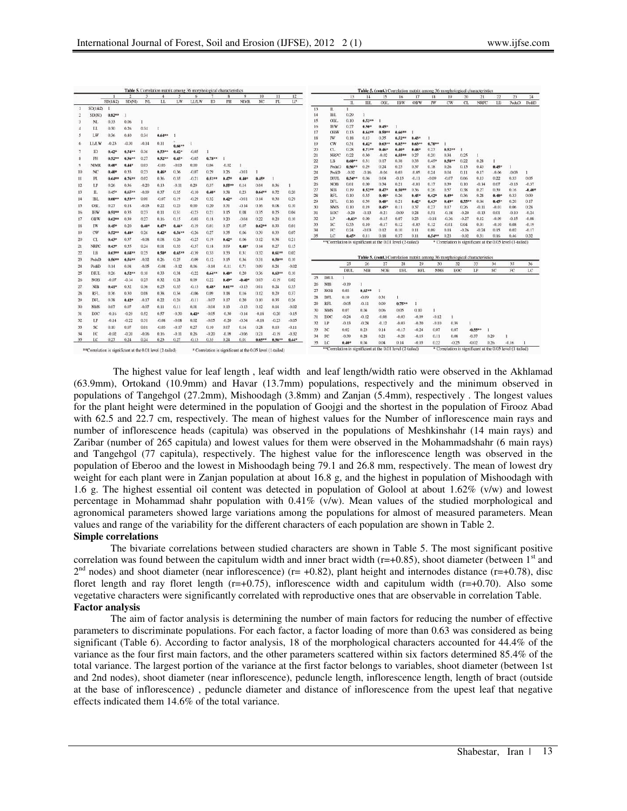|                |             |                 |                 |         | <b>Table 5.</b> Correlation matrix among 36 morphological characteristics |          |             |           |          |                      |           |           |         |          |                                                           |                 |                                                                            |                    |                 | <b>Table 5. (cont.)</b> Correlation matrix among 36 morphological characteristics |                     |                     |                 |                    |                 |                                                                      |                      |
|----------------|-------------|-----------------|-----------------|---------|---------------------------------------------------------------------------|----------|-------------|-----------|----------|----------------------|-----------|-----------|---------|----------|-----------------------------------------------------------|-----------------|----------------------------------------------------------------------------|--------------------|-----------------|-----------------------------------------------------------------------------------|---------------------|---------------------|-----------------|--------------------|-----------------|----------------------------------------------------------------------|----------------------|
|                |             |                 |                 |         | л                                                                         | LW       | 6           | ID        |          | $\overline{Q}$       | 10<br>NC. | 11        | 12      |          |                                                           | 13              | 14                                                                         | 15                 | 16              | 17                                                                                | 18                  | 19                  | 20              | 21                 | 22              | 23                                                                   | 24                   |
|                |             | SD(1&2)         | SD(NI)          | NL      | LL.                                                                       |          | <b>LLAW</b> |           | PH       | <b>NIMR</b>          |           | PL        | LP      |          |                                                           | П.              | IBL                                                                        | <b>OBL</b>         | <b>IBW</b>      | OBW                                                                               | IW                  | CW                  | CL.             | <b>NRPC</b>        | LB              | PeduD                                                                | PediD.               |
| $\mathbf{1}$   | SD(1&2)     |                 |                 |         |                                                                           |          |             |           |          |                      |           |           |         | 13       | IL.                                                       | 1.              |                                                                            |                    |                 |                                                                                   |                     |                     |                 |                    |                 |                                                                      |                      |
|                | SD(NI)      | $0.82**$        |                 |         |                                                                           |          |             |           |          |                      |           |           |         | 14       | IBL                                                       | 0.29            | $\mathbf{1}$                                                               |                    |                 |                                                                                   |                     |                     |                 |                    |                 |                                                                      |                      |
| -3             | NL          | 0.33            | 0.06            |         |                                                                           |          |             |           |          |                      |           |           |         | 15       | <b>OBL</b><br><b>IBW</b>                                  | 0.10<br>0.27    | $0.53**$                                                                   | $0.45*$            |                 |                                                                                   |                     |                     |                 |                    |                 |                                                                      |                      |
|                | LL.         | 0.30            | 0.26            | 0.34    | -1                                                                        |          |             |           |          |                      |           |           |         | 16<br>17 | OBW                                                       | 0.13            | $0.50*$<br>$0.64**$                                                        | $0.59**$           | $0.66***$       |                                                                                   |                     |                     |                 |                    |                 |                                                                      |                      |
| 5              | LW          | 0.36            | 0.40            | 0.34    | $0.64***$                                                                 |          |             |           |          |                      |           |           |         | 18       | IW                                                        | 0.18            | 0.13                                                                       | 0.35               | $0.52**$        | $0.43*$                                                                           |                     |                     |                 |                    |                 |                                                                      |                      |
| 6              | LLA.W       | $-0.23$         | $-0.30$         | $-0.14$ | 0.11                                                                      |          |             |           |          |                      |           |           |         | 19       | CW                                                        | 0.31            | $0.42$ <sup>*</sup>                                                        | $0.63**$           | $0.85**$        | $0.63**$                                                                          | $0.70***$           |                     |                 |                    |                 |                                                                      |                      |
|                |             |                 |                 |         |                                                                           | $0.66**$ |             |           |          |                      |           |           |         | 20       | CL.                                                       | 0.28            | $0.71**$                                                                   | $0.46*$            | $0.40*$         | $0.48+$                                                                           | 0.27                | $0.52**$            |                 |                    |                 |                                                                      |                      |
|                | ID          | $0.42*$         | 0.54            | 0.36    | 0.53                                                                      | $0.42*$  | $-0.05$     |           |          |                      |           |           |         | 21       | NRPC                                                      | 0.22            | 0.30                                                                       | $-0.02$            | $0.55**$        | 0.27                                                                              | 0.20                | 0.38                | 0.25            | 1                  |                 |                                                                      |                      |
| 8              | PH          | $0.52**$        | $0.56**$        | 0.27    | $0.52**$                                                                  | $0.45*$  | $-0.05$     | $0.78***$ | 1        |                      |           |           |         | 22       | LB                                                        | $0.60**$        | 0.31                                                                       | 0.17               | 0.38            | 0,33                                                                              | $0.45*$             | 0.58**              | 0.22            | 0.28               |                 |                                                                      |                      |
| 9              | <b>NIMR</b> | $0.40*$         | $0.44*$         | 0.03    | $-0.03$                                                                   | $-0.03$  | 0.00        | 0.04      | $-0.02$  |                      |           |           |         | 23       | PeduD                                                     | $0.56*$         | 0.29                                                                       | 0.24               | 0.25            | 0.37                                                                              | 0.18                | 0.26                | 0.15            | 0.43               | $0.45*$         |                                                                      |                      |
| 10             | NC          | $0.40*$         | 0.33            | 0.23    | $0.46*$                                                                   | 0.36     | $-0.07$     | 0.29      | 0.26     | $-0.01$              | -1        |           |         | 24       | PediD                                                     | $-0.02$         | $-0.16$                                                                    | $-0.04$            | 0.03            | $-0.05$                                                                           | 0.24                | 0.04                | 0.11            | 0.17               | $-0.06$         | $-0.03$                                                              |                      |
| 11             | PL          | $0.64**$        | $0.76**$        | 0.02    | 0.36                                                                      | 0.35     | $-0.21$     | $0.51**$  | $0.47*$  | $0,40$ <sup>*</sup>  | $0.45*$   |           |         | 25       | DIUL                                                      | $0.54**$        | 0.06                                                                       | 0.04               | $-0.13$         | $-0.11$                                                                           | $-0.09$             | $-0.07$             | 0.06            | 0.13               | 0.22            | 0.33                                                                 | 0.05                 |
| 12             | $_{\rm LP}$ | 0.26            | 0.36            | $-0.20$ | 0.13                                                                      | $-0.11$  | 0.29        | 0.37      | $0.55**$ | 0.14                 | 0.04      | 0.36      |         | 26       | <b>NOB</b>                                                | 0.01            | 0.00                                                                       | 0.34               | 0.21            | $-0.01$                                                                           | 0.17                | 0.39                | 0.10            | $-0.14$            | 0.07            | $-0.13$                                                              | $-0.37$              |
| 13             | П.          | $0.45*$         | $0.65**$        | $-0.09$ | 0.37                                                                      | 0.35     | $-0.10$     | $0.40*$   | 0.38     | 0.23                 | $0.64**$  | 0.72      | 0.20    | 27       | <b>NIB</b>                                                | 0.19            | $0.52**$                                                                   | $0.47*$            | $0.50**$        | 0.36                                                                              | 0.26                | 0.57                | 0.38            | 0.27               | 0.39            | 0.16                                                                 | $-0.40$ <sup>*</sup> |
| 14             | <b>IBL</b>  | $0.60**$        | $0.53**$        | 0.00    | $-0.07$                                                                   | 0.19     | $-0.29$     | 0.32      | $0.42*$  | $-0.01$              | 0.14      | 0.30      | 0.29    | 28       | RF1.                                                      | 0.10            | 0.35                                                                       | $0.48*$            | 0.26            | $0.45*$                                                                           | $0.42$ <sup>o</sup> | $0.49*$             | 0.36            | 0.28               | $0.40^{\circ}$  | 0.33                                                                 | 0.00                 |
| 15             | OBL         | 0.27            | 0.18            | $-0.03$ | 0.22                                                                      | 0.23     | 0.00        | 0.20      | 0,3      | $-0.14$              | 0.16      | 0.08      | 0.10    | 29<br>30 | DFL<br><b>NMS</b>                                         | 0.16            | 0.39                                                                       | $0.40*$            | 0.21            | $0.42*$                                                                           | $0.43*$<br>0.27     | $0.49$ <sup>*</sup> | $0.55$ **       | 0.04               | $0.45^*$        | 0.20<br>0.06                                                         | 0.17                 |
| 16             | <b>IBW</b>  | $0.51**$        | 0.35            | 0.23    | 0.11                                                                      | 0.31     | $-0.23$     | 0.21      | 0.15     | 0.08                 | 0.35      | 0.25      | 0.04    | 31       | EOC                                                       | 0.10<br>$-0.20$ | 0.19<br>$-0.13$                                                            | $0.45*$<br>$-0.21$ | 0.11<br>$-0.09$ | 0.37<br>0.24                                                                      | 0.51                | 0.17<br>$-0.18$     | 0.26<br>$-0.20$ | $-0.11$<br>$-0.13$ | $-0.01$<br>0.01 | $-0.10$                                                              | 0.28<br>$-0.24$      |
|                | OBW         | $0.62**$        | 0.39            | 0.27    |                                                                           |          | $-0.03$     |           | 0.20     | $-0.04$              | 0.22      | 0.20      | 0.10    | 32       | $_{LP}$                                                   | $-0.43*$        | 0.00                                                                       | $-0.15$            | 0.07            | 0.23                                                                              | $-0.18$             | $-0.36$             | $-0.27$         | 0.12               | $-0.09$         | $-0.15$                                                              | $-0.08$              |
| 17             |             |                 |                 |         | 0.16                                                                      | 0.15     |             | 0.18      |          |                      |           |           |         | 33       | SC                                                        | 0.33            | 0.10                                                                       | $-0.17$            | 0.12            | $-0.03$                                                                           | 0.12                | $-0.01$             | 0.04            | 0.01               | $-0.10$         | 0.08                                                                 | $-0.19$              |
| 18             | 1W          | $0.45*$         | 0.20            | $0.40*$ | $0.47*$                                                                   | $0.46*$  | $-0.19$     | 0.01      | 0,17     | 0.07                 | $0.62***$ | 0.33      | 0.01    | 34       | FC                                                        | 0.24            | $-0.03$                                                                    | 0.12               | 0.10            | 0.11                                                                              | 0.09                | 0.18                | $-0.26$         | $-0.24$            | 0.15            | 0.02                                                                 | $-0.17$              |
| 19             | CW          | $0.52**$        | $0.40^{+}$      | 0.26    | $0.42*$                                                                   | 0.56**   | $-0.26$     | 0.27      | 0.35     | 0.06                 | 0.39      | 0.33      | 0.07    | 35       | LC                                                        | $0.45*$         | 0.11                                                                       | 0.18               | 0.37            | 0.11                                                                              | $0.54**$            | 0.23                | $-0.02$         | 0.31               | 0.16            | 0.46                                                                 | 0.32                 |
| 20             | CL          | $0.43*$         | 0.37            | $-0.08$ | 0.08                                                                      | 0.26     | $-0.25$     | 0.19      | $0.42*$  | 0.06                 | 0.12      | 0.38      | 0.21    |          | **Correlation is significant at the 0.01 level (2-tailed) |                 |                                                                            |                    |                 |                                                                                   |                     |                     |                 |                    |                 | <sup>e</sup> Correlation is significant at the 0.05 level (1-tailed) |                      |
| 21             | <b>NRPC</b> | $0.43*$         | 0.35            | 0.24    | 0.01                                                                      | 0.33     | $-0.37$     | 0.18      | 0.09     | $0.48^{\circ}$       | 0.14      | 0.27      | 0.15    |          |                                                           |                 |                                                                            |                    |                 |                                                                                   |                     |                     |                 |                    |                 |                                                                      |                      |
| 22             | 1B          | $0.63**$        | $0.68**$        | 0.25    | $0.50*$                                                                   | $0.65**$ | $-0.39$     | 0.33      | 0.33     | 0.31                 | 0.32      | $0.61***$ | 0.02    |          |                                                           |                 |                                                                            |                    |                 |                                                                                   |                     |                     |                 |                    |                 |                                                                      |                      |
| 23             | PeduD       | $0.56**$        | $0.56**$        | $-0.02$ | 0.26                                                                      | 0.25     | $-0.09$     | 0.12      | 0.15     | 0.36                 | 0.31      | $0.50**$  | 0.10    |          |                                                           |                 | Table 5. (cont.) Correlation matrix among 36 morphological characteristics |                    |                 |                                                                                   |                     |                     |                 |                    |                 |                                                                      |                      |
| 24             | PediD       | 0.14            | 0.08            | $-0.05$ | $-0.08$                                                                   | $-0.12$  | 0.06        | $-0.14$   | $-0.11$  | 0.71                 | 0.09      | 0.24      | $-0.02$ |          |                                                           | 25              | 26                                                                         | 27                 | 28              | 29                                                                                | 30                  |                     | 32              | 33                 | 34              | 35                                                                   | 36                   |
| 25             | DIUL        | 0.26            | $0.52**$        | 0.10    | 0.33                                                                      | 0.38     | $-0.22$     | $0.64***$ | $0.40 +$ | 0.20                 | 0.36      | $0.63**$  | 0.10    |          |                                                           | <b>DIUL</b>     | <b>NIB</b>                                                                 | <b>NOB</b>         | DFL             | RFL                                                                               | <b>NMS</b>          |                     | EOC             | 1P                 | SC.             | FC                                                                   | LC                   |
| 26             | <b>NOB</b>  | $-0.07$         | $-0.14$         | 0.25    | 0.32                                                                      | 0.28     | 0.09        | 0.22      | $0.49 =$ | $-0.40$ <sup>*</sup> | 0.03      | $-0.19$   | 0.02    | 25       | DIUL.                                                     | 1               |                                                                            |                    |                 |                                                                                   |                     |                     |                 |                    |                 |                                                                      |                      |
| 27             | <b>NIB</b>  | $0.41$ *        | 0.32            | 0.36    | 0.25                                                                      | 0.35     | $-0.13$     | $0.48^*$  | $0.61**$ | $-0.13$              | 0.01      | 0.24      | 0.35    | 26       | <b>NIB</b>                                                | $-0.19$         |                                                                            |                    |                 |                                                                                   |                     |                     |                 |                    |                 |                                                                      |                      |
| 28             | RFL         | 0.36            | 0.30            | 0.08    | 0.38                                                                      | 0.34     | $-0.06$     | 0.09      | 0.18     | 0.16                 | 0.12      | 0.29      | 0.37    | 27       | <b>NOB</b>                                                | 0.03            | $0.65**$                                                                   | $\mathbf{1}$       |                 |                                                                                   |                     |                     |                 |                    |                 |                                                                      |                      |
| 29             | DFL         | 0.38            | $0.42*$         | $-0.17$ | 0.22                                                                      | 0.24     | $-0.11$     | $-0.07$   | 0,17     | 0.20                 | 0,10      | 0.35      | 0.26    | 28       | DFL                                                       | 0.10            | $-0.09$                                                                    | 0.31               |                 |                                                                                   |                     |                     |                 |                    |                 |                                                                      |                      |
|                | <b>NMS</b>  | 0.07            |                 | $-0.07$ |                                                                           |          | 0.01        |           |          | $-0.13$              | 0.12      |           |         | 29       | RFL                                                       | $-0.05$         | $-0.11$                                                                    | 0.09               | $0.75**$        |                                                                                   |                     |                     |                 |                    |                 |                                                                      |                      |
| 30             |             |                 | 0.07            |         | 0.11                                                                      | 0.11     |             | $-0.04$   | 0.13     |                      |           | 0.14      | $-0.02$ | 30       | NMS                                                       | 0.07            | 0.04                                                                       | 0.06               | 0.05            | 0.10                                                                              | 1                   |                     |                 |                    |                 |                                                                      |                      |
| 31             | EOC         | $-0.16$         | $-0.29$         | 0.52    | 0.57                                                                      | $-0.30$  | $0.42*$     | $-0.05$   | $-0.30$  | $-0.14$              | $-0.18$   | $-0.20$   | $-0.15$ | 31       | EOC                                                       | $-0.24$         | $-0.12$                                                                    | $-0.08$            | $-0.03$         | $-0.09$                                                                           | $-0.12$             | 1                   |                 |                    |                 |                                                                      |                      |
| 32             | LP          | $-0.14$         | $-0.22$         | 0.31    | $-0.08$                                                                   | $-0.08$  | 0.02        | $-0.05$   | $-0.20$  | $-0.34$              | $-0.18$   | $-0.23$   | $-0.05$ | 32       | LP                                                        | $-0.13$         | $-0.28$                                                                    | $-0.12$            | $-0.03$         | $-0.20$                                                                           | $-0.10$             | 0.39                |                 |                    |                 |                                                                      |                      |
|                | SC          | 0.10            | 0.07            | 0.01    | $-0.03$                                                                   | $-0.17$  | 0.27        | 0.10      | 0.07     | 0.14                 | 0.28      | 0.10      | $-0.11$ | 33       | SC <sub>1</sub>                                           | 0.02            | 0.23                                                                       | 0.14               | $-0.15$         | $-0.24$                                                                           | 0.07                | 0.07                |                 | $-0.55**$          |                 |                                                                      |                      |
|                |             |                 |                 | $-0.06$ | 0.16                                                                      | $-0.11$  | 0.26        | $-0.20$   | $-0.09$  | $-0.06$              | 0.21      | $-0.19$   | $-0.32$ | 34       | FC                                                        | $-0.39$         | 0.28                                                                       | 0.21               | $-0.20$         | $-0.15$                                                                           | 0.11                | 0.08                |                 | $-0.37$            | 0.29            | ı                                                                    |                      |
| 33<br>34<br>35 | FC<br>1.C   | $-0.02$<br>0.27 | $-0.20$<br>0.24 | 0.24    | 0.23                                                                      | 0.27     | $-0.13$     | 0.33      | 0.24     | 0.01                 | $0.65**$  | 0.56 **   | $0.44*$ |          |                                                           |                 |                                                                            |                    |                 |                                                                                   |                     |                     |                 |                    |                 |                                                                      |                      |

 The highest value for leaf length , leaf width and leaf length/width ratio were observed in the Akhlamad (63.9mm), Ortokand (10.9mm) and Havar (13.7mm) populations, respectively and the minimum observed in populations of Tangehgol (27.2mm), Mishoodagh (3.8mm) and Zanjan (5.4mm), respectively . The longest values for the plant height were determined in the population of Goojgi and the shortest in the population of Firooz Abad with 62.5 and 22.7 cm, respectively. The mean of highest values for the Number of inflorescence main rays and number of inflorescence heads (capitula) was observed in the populations of Meshkinshahr (14 main rays) and Zaribar (number of 265 capitula) and lowest values for them were observed in the Mohammadshahr (6 main rays) and Tangehgol (77 capitula), respectively. The highest value for the inflorescence length was observed in the population of Eberoo and the lowest in Mishoodagh being 79.1 and 26.8 mm, respectively. The mean of lowest dry weight for each plant were in Zanjan population at about 16.8 g, and the highest in population of Mishoodagh with 1.6 g. The highest essential oil content was detected in population of Golool at about 1.62% (v/w) and lowest percentage in Mohammad shahr population with 0.41% (v/w). Mean values of the studied morphological and agronomical parameters showed large variations among the populations for almost of measured parameters. Mean values and range of the variability for the different characters of each population are shown in Table 2. **Simple correlations** 

The bivariate correlations between studied characters are shown in Table 5. The most significant positive correlation was found between the capitulum width and inner bract width ( $r=+0.85$ ), shoot diameter (between  $1<sup>st</sup>$  and  $2<sup>nd</sup>$  nodes) and shoot diameter (near inflorescence) (r= +0.82), plant height and internodes distance (r=+0.78), disc floret length and ray floret length ( $r=+0.75$ ), inflorescence width and capitulum width  $(r=+0.70)$ . Also some vegetative characters were significantly correlated with reproductive ones that are observable in correlation Table. **Factor analysis** 

The aim of factor analysis is determining the number of main factors for reducing the number of effective parameters to discriminate populations. For each factor, a factor loading of more than 0.63 was considered as being significant (Table 6). According to factor analysis, 18 of the morphological characters accounted for 44.4% of the variance as the four first main factors, and the other parameters scattered within six factors determined 85.4% of the total variance. The largest portion of the variance at the first factor belongs to variables, shoot diameter (between 1st and 2nd nodes), shoot diameter (near inflorescence), peduncle length, inflorescence length, length of bract (outside at the base of inflorescence) , peduncle diameter and distance of inflorescence from the upest leaf that negative effects indicated them 14.6% of the total variance.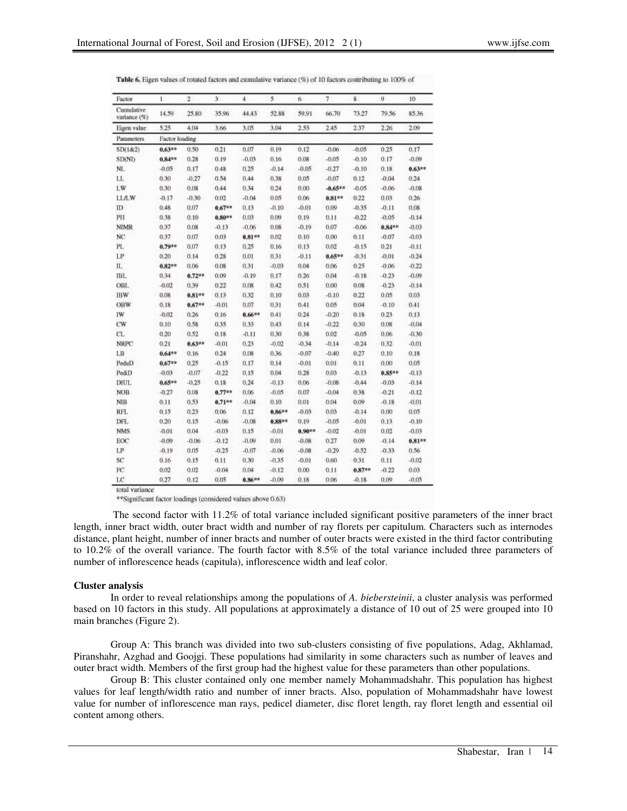| Factor                     | $\mathbf{I}$   | $\bar{2}$ | 3        | $\overline{4}$ | 5        | 6        | $\tau$    | $\overline{\mathbf{8}}$ | ğ        | 10        |
|----------------------------|----------------|-----------|----------|----------------|----------|----------|-----------|-------------------------|----------|-----------|
| Cumulative<br>variance (%) | 14.59          | 25.80     | 35.96    | 44.43          | 52.88    | 59.91    | 66.70     | 73.27                   | 79.56    | 85.36     |
| Eigen value                | 5.25           | 4.04      | 3.66     | 3,05           | 3.04     | 2.53     | 2.45      | 2.37                    | 2.26     | 2.09      |
| Parameters.                | Factor loading |           |          |                |          |          |           |                         |          |           |
| SD(1&2)                    | $0.63**$       | 0.50      | 0.21     | 0.07           | 0.19     | 0.12     | $-0.06$   | $-0.05$                 | 0.25     | 0.17      |
| SD(NI)                     | $0.84**$       | 0.28      | 0.19     | $-0.03$        | 0.16     | 0.08     | $-0.05$   | $-0.10$                 | 0.17     | $-0.09$   |
| NL                         | $-0.05$        | 0.17      | 0.48     | 0.25           | $-0.14$  | $-0.05$  | $-0.27$   | $-0.10$                 | 0.18     | $0.63**$  |
| LL.                        | 0.30           | $-0.27$   | 0.54     | 0.44           | 0.38     | 0.05     | $-0.07$   | 0.12                    | $-0.04$  | 0.24      |
| LW                         | 0.30           | 0.08      | 0.44     | 0.34           | 0.24     | 0.00     | $-0.65**$ | $-0.05$                 | $-0.06$  | $-0.08$   |
| <b>LLA.W</b>               | $-0.17$        | $-0.30$   | 0.02     | $-0.04$        | 0.05     | 0.06     | $0.81***$ | 0.22                    | 0.03     | 0.26      |
| m                          | 0.48           | 0.07      | $0.67**$ | 0.13           | $-0.10$  | $-0.01$  | 0.09      | $-0.35$                 | $-0.11$  | 0.08      |
| PH                         | 0.38           | 0.10      | $0.80**$ | 0.03           | 0.09     | 0.19     | 0.11      | $-0.22$                 | $-0.05$  | $-0.14$   |
| <b>NIMR</b>                | 0.37           | 0.08      | $-0.13$  | $-0.06$        | 0.08     | $-0.19$  | 0.07      | $-0.06$                 | $0.84**$ | $-0.03$   |
| NC                         | 0.37           | 0.07      | 0.03     | $0.81**$       | 0.02     | 0.10     | 0.00      | 0.11                    | $-0.07$  | $-0.03$   |
| PL.                        | $0.79**$       | 0.07      | 0.13     | 0.25           | 0.16     | 0.13     | 0.02      | $-0.15$                 | 0.21     | $-0.11$   |
| LP                         | 0.20           | 0.14      | 0.28     | 0.01           | 0.31     | $-0.11$  | $0.65**$  | $-0.31$                 | $-0.01$  | $-0.24$   |
| Π.                         | $0.82**$       | 0.06      | 0.08     | 0.31           | $-0.03$  | 0.04     | 0.06      | 0.25                    | $-0.06$  | $-0.22$   |
| IBL                        | 0.34           | $0.72**$  | 0.09     | $-0.19$        | 0.17     | 0.26     | 0.04      | $-0.18$                 | $-0.23$  | $-0.09$   |
| <b>OBL</b>                 | $-0.02$        | 0.39      | 0.22     | 0.08           | 0.42     | 0.51     | 0.00      | 0.08                    | $-0.23$  | $-0.14$   |
| <b>IBW</b>                 | 0.08           | $0.81**$  | 0.13     | 0.32           | 0.10     | 0.03     | $-0.10$   | 0.22                    | 0.05     | 0.03      |
| OBW                        | 0.18           | $0.67**$  | $-0.01$  | 0.07           | 0.31     | 0.41     | 0.05      | 0.04                    | $-0.10$  | 0.41      |
| IW                         | $-0.02$        | 0.26      | 0.16     | $0.66**$       | 0.41     | 0.24     | $-0.20$   | 0.18                    | 0.23     | 0.13      |
| CW                         | 0.10           | 0.58      | 0.35     | 0.33           | 0.43     | 0.14     | $-0.22$   | 0.30                    | 0.08     | $-0.04$   |
| CL.                        | 0.20           | 0.52      | 0.18     | $-0.11$        | 0.30     | 0.38     | 0.02      | $-0.05$                 | 0.06     | $-0.30$   |
| <b>NRPC</b>                | 0.21           | $0.63**$  | $-0.01$  | 0.23           | $-0.02$  | $-0.34$  | $-0.14$   | $-0.24$                 | 0.32     | $-0.01$   |
| LB                         | $0.64**$       | 0.16      | 0.24     | 0.08           | 0.36     | $-0.07$  | $-0.40$   | 0.27                    | 0.10     | 0.18      |
| PeduD                      | $0.67**$       | 0.25      | $-0.15$  | 0.17           | 0.14     | $-0.01$  | 0.01      | 0.11                    | 0.00     | 0.05      |
| PediD                      | $-0.03$        | $-0.07$   | $-0.22$  | 0,15           | 0.04     | 0.28     | 0.03      | $-0.13$                 | $0.85**$ | $-0.13$   |
| DIUL                       | $0.65**$       | $-0.25$   | 0.18     | 0.24           | $-0.13$  | 0.06     | $-0.08$   | $-0.44$                 | $-0.03$  | $-0.14$   |
| <b>NOB</b>                 | $-0.27$        | 0.08      | $0.77**$ | 0.06           | $-0.05$  | 0.07     | $-0.04$   | 0.38                    | $-0.21$  | $-0.12$   |
| <b>NIB</b>                 | 0.11           | 0.53      | $0.71**$ | $-0.04$        | 0.10     | 0.01     | 0.04      | 0.09                    | $-0.18$  | $-0.01$   |
| RFL                        | 0.15           | 0.23      | 0.06     | 0.12           | $0.86**$ | $-0.03$  | 0.03      | $-0.14$                 | 0.00     | 0.05      |
| DFL                        | 0.20           | 0.15      | $-0.06$  | $-0.08$        | 0.88**   | 0.19     | $-0.05$   | $-0.01$                 | 0.13     | $-0.10$   |
| <b>NMS</b>                 | $-0.01$        | 0.04      | $-0.03$  | 0.15           | $-0.01$  | $0.90**$ | $-0.02$   | $-0.01$                 | 0.02     | $-0.03$   |
| EOC                        | $-0.09$        | $-0.06$   | $-0.12$  | $-0.09$        | 0.01     | $-0.08$  | 0.27      | 0.09                    | $-0.14$  | $0.81***$ |
| LP                         | $-0.19$        | 0.05      | $-0.25$  | $-0.07$        | $-0.06$  | $-0.08$  | $-0.29$   | $-0.52$                 | $-0.33$  | 0.56      |
| SC                         | 0.16           | 0.15      | 0.11     | 0.30           | $-0.35$  | $-0.01$  | 0.60      | 0.31                    | 0.11     | $-0.02$   |
| FC                         | 0.02           | 0.02      | $-0.04$  | 0.04           | $-0.12$  | 0,00     | 0.11      | $0.87**$                | $-0.22$  | 0.03      |
| LC                         | 0.27           | 0.12      | 0.05     | $0.86**$       | $-0.09$  | 0.18     | 0.06      | $-0.18$                 | 0.09     | $-0.05$   |

Table 6. Eigen values of rotated factors and cumulative variance (%) of 10 factors contributing to 100% of

\*\* Significant factor loadings (considered values above 0.63)

 The second factor with 11.2% of total variance included significant positive parameters of the inner bract length, inner bract width, outer bract width and number of ray florets per capitulum. Characters such as internodes distance, plant height, number of inner bracts and number of outer bracts were existed in the third factor contributing to 10.2% of the overall variance. The fourth factor with 8.5% of the total variance included three parameters of number of inflorescence heads (capitula), inflorescence width and leaf color.

#### **Cluster analysis**

In order to reveal relationships among the populations of *A. biebersteinii*, a cluster analysis was performed based on 10 factors in this study. All populations at approximately a distance of 10 out of 25 were grouped into 10 main branches (Figure 2).

Group A: This branch was divided into two sub-clusters consisting of five populations, Adag, Akhlamad, Piranshahr, Azghad and Goojgi. These populations had similarity in some characters such as number of leaves and outer bract width. Members of the first group had the highest value for these parameters than other populations.

Group B: This cluster contained only one member namely Mohammadshahr. This population has highest values for leaf length/width ratio and number of inner bracts. Also, population of Mohammadshahr have lowest value for number of inflorescence man rays, pedicel diameter, disc floret length, ray floret length and essential oil content among others.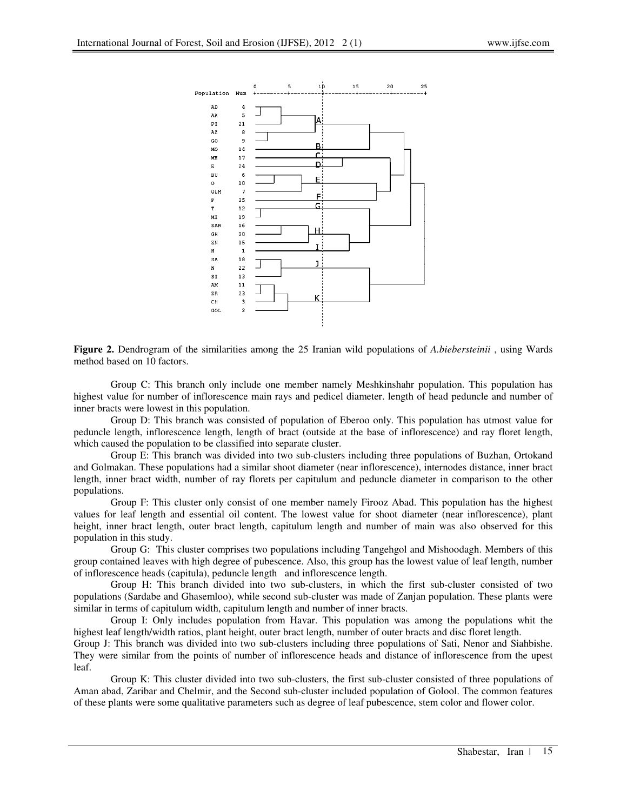

**Figure 2.** Dendrogram of the similarities among the 25 Iranian wild populations of *A.biebersteinii* , using Wards method based on 10 factors.

Group C: This branch only include one member namely Meshkinshahr population. This population has highest value for number of inflorescence main rays and pedicel diameter. length of head peduncle and number of inner bracts were lowest in this population.

Group D: This branch was consisted of population of Eberoo only. This population has utmost value for peduncle length, inflorescence length, length of bract (outside at the base of inflorescence) and ray floret length, which caused the population to be classified into separate cluster.

Group E: This branch was divided into two sub-clusters including three populations of Buzhan, Ortokand and Golmakan. These populations had a similar shoot diameter (near inflorescence), internodes distance, inner bract length, inner bract width, number of ray florets per capitulum and peduncle diameter in comparison to the other populations.

Group F: This cluster only consist of one member namely Firooz Abad. This population has the highest values for leaf length and essential oil content. The lowest value for shoot diameter (near inflorescence), plant height, inner bract length, outer bract length, capitulum length and number of main was also observed for this population in this study.

Group G: This cluster comprises two populations including Tangehgol and Mishoodagh. Members of this group contained leaves with high degree of pubescence. Also, this group has the lowest value of leaf length, number of inflorescence heads (capitula), peduncle length and inflorescence length.

Group H: This branch divided into two sub-clusters, in which the first sub-cluster consisted of two populations (Sardabe and Ghasemloo), while second sub-cluster was made of Zanjan population. These plants were similar in terms of capitulum width, capitulum length and number of inner bracts.

Group I: Only includes population from Havar. This population was among the populations whit the highest leaf length/width ratios, plant height, outer bract length, number of outer bracts and disc floret length.

Group J: This branch was divided into two sub-clusters including three populations of Sati, Nenor and Siahbishe. They were similar from the points of number of inflorescence heads and distance of inflorescence from the upest leaf.

Group K: This cluster divided into two sub-clusters, the first sub-cluster consisted of three populations of Aman abad, Zaribar and Chelmir, and the Second sub-cluster included population of Golool. The common features of these plants were some qualitative parameters such as degree of leaf pubescence, stem color and flower color.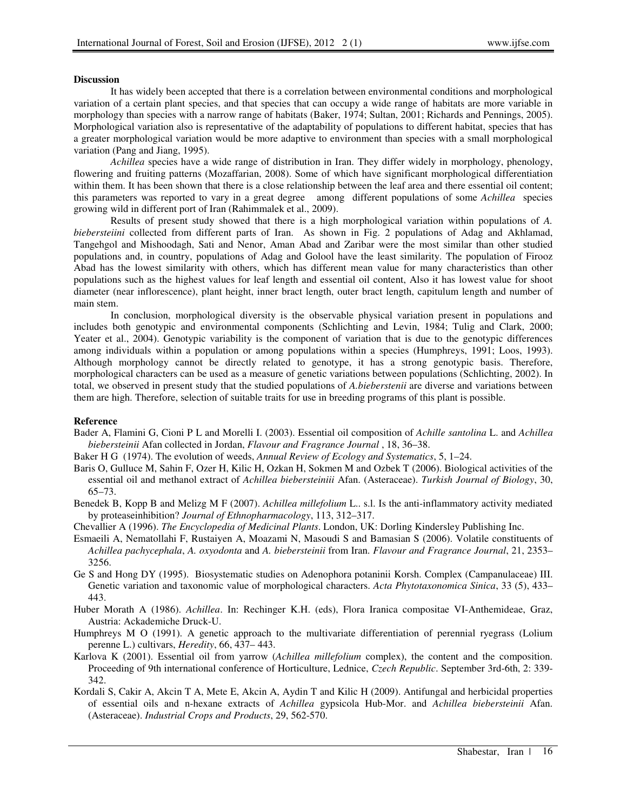### **Discussion**

It has widely been accepted that there is a correlation between environmental conditions and morphological variation of a certain plant species, and that species that can occupy a wide range of habitats are more variable in morphology than species with a narrow range of habitats (Baker, 1974; Sultan, 2001; Richards and Pennings, 2005). Morphological variation also is representative of the adaptability of populations to different habitat, species that has a greater morphological variation would be more adaptive to environment than species with a small morphological variation (Pang and Jiang, 1995).

*Achillea* species have a wide range of distribution in Iran. They differ widely in morphology, phenology, flowering and fruiting patterns (Mozaffarian, 2008). Some of which have significant morphological differentiation within them. It has been shown that there is a close relationship between the leaf area and there essential oil content; this parameters was reported to vary in a great degree among different populations of some *Achillea* species growing wild in different port of Iran (Rahimmalek et al., 2009).

Results of present study showed that there is a high morphological variation within populations of *A. biebersteiini* collected from different parts of Iran. As shown in Fig. 2 populations of Adag and Akhlamad, Tangehgol and Mishoodagh, Sati and Nenor, Aman Abad and Zaribar were the most similar than other studied populations and, in country, populations of Adag and Golool have the least similarity. The population of Firooz Abad has the lowest similarity with others, which has different mean value for many characteristics than other populations such as the highest values for leaf length and essential oil content, Also it has lowest value for shoot diameter (near inflorescence), plant height, inner bract length, outer bract length, capitulum length and number of main stem.

In conclusion, morphological diversity is the observable physical variation present in populations and includes both genotypic and environmental components (Schlichting and Levin, 1984; Tulig and Clark, 2000; Yeater et al., 2004). Genotypic variability is the component of variation that is due to the genotypic differences among individuals within a population or among populations within a species (Humphreys, 1991; Loos, 1993). Although morphology cannot be directly related to genotype, it has a strong genotypic basis. Therefore, morphological characters can be used as a measure of genetic variations between populations (Schlichting, 2002). In total, we observed in present study that the studied populations of *A.bieberstenii* are diverse and variations between them are high. Therefore, selection of suitable traits for use in breeding programs of this plant is possible.

#### **Reference**

Bader A, Flamini G, Cioni P L and Morelli I. (2003). Essential oil composition of *Achille santolina* L. and *Achillea biebersteinii* Afan collected in Jordan, *Flavour and Fragrance Journal* , 18, 36–38.

Baker H G (1974). The evolution of weeds, *Annual Review of Ecology and Systematics*, 5, 1–24.

- Baris O, Gulluce M, Sahin F, Ozer H, Kilic H, Ozkan H, Sokmen M and Ozbek T (2006). Biological activities of the essential oil and methanol extract of *Achillea biebersteiniii* Afan. (Asteraceae). *Turkish Journal of Biology*, 30, 65–73.
- Benedek B, Kopp B and Melizg M F (2007). *Achillea millefolium* L.. s.l. Is the anti-inflammatory activity mediated by proteaseinhibition? *Journal of Ethnopharmacology*, 113, 312–317.

Chevallier A (1996). *The Encyclopedia of Medicinal Plants*. London, UK: Dorling Kindersley Publishing Inc.

- Esmaeili A, Nematollahi F, Rustaiyen A, Moazami N, Masoudi S and Bamasian S (2006). Volatile constituents of *Achillea pachycephala*, *A. oxyodonta* and *A. biebersteinii* from Iran. *Flavour and Fragrance Journal*, 21, 2353– 3256.
- Ge S and Hong DY (1995). Biosystematic studies on Adenophora potaninii Korsh. Complex (Campanulaceae) III. Genetic variation and taxonomic value of morphological characters. *Acta Phytotaxonomica Sinica*, 33 (5), 433– 443.
- Huber Morath A (1986). *Achillea*. In: Rechinger K.H. (eds), Flora Iranica compositae VI-Anthemideae, Graz, Austria: Ackademiche Druck-U.
- Humphreys M O (1991). A genetic approach to the multivariate differentiation of perennial ryegrass (Lolium perenne L.) cultivars, *Heredity*, 66, 437– 443.
- Karlova K (2001). Essential oil from yarrow (*Achillea millefolium* complex), the content and the composition. Proceeding of 9th international conference of Horticulture, Lednice, *Czech Republic*. September 3rd-6th, 2: 339- 342.
- Kordali S, Cakir A, Akcin T A, Mete E, Akcin A, Aydin T and Kilic H (2009). Antifungal and herbicidal properties of essential oils and n-hexane extracts of *Achillea* gypsicola Hub-Mor. and *Achillea biebersteinii* Afan. (Asteraceae). *Industrial Crops and Products*, 29, 562-570.